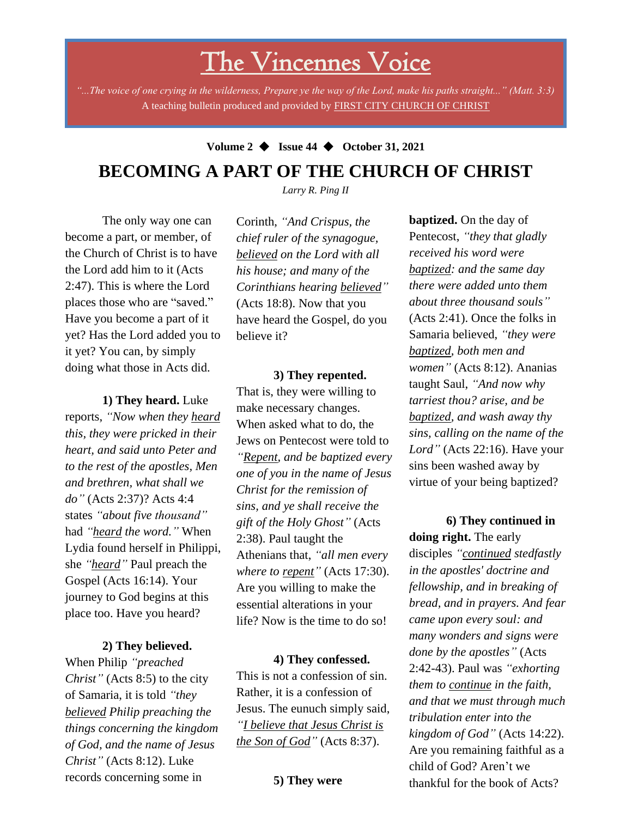# The Vincennes Voice

*"...The voice of one crying in the wilderness, Prepare ye the way of the Lord, make his paths straight..." (Matt. 3:3)* A teaching bulletin produced and provided by FIRST CITY CHURCH OF CHRIST

## **Volume 2** ◆ **Issue 44** ◆ **October 31, 2021 BECOMING A PART OF THE CHURCH OF CHRIST**

*Larry R. Ping II*

The only way one can become a part, or member, of the Church of Christ is to have the Lord add him to it (Acts 2:47). This is where the Lord places those who are "saved." Have you become a part of it yet? Has the Lord added you to it yet? You can, by simply doing what those in Acts did.

**1) They heard.** Luke

reports, *"Now when they heard this, they were pricked in their heart, and said unto Peter and to the rest of the apostles, Men and brethren, what shall we do"* (Acts 2:37)? Acts 4:4 states *"about five thousand"* had *"heard the word."* When Lydia found herself in Philippi, she *"heard"* Paul preach the Gospel (Acts 16:14). Your journey to God begins at this place too. Have you heard?

#### **2) They believed.**

**believed** Philip preaching the When Philip *"preached Christ"* (Acts 8:5) to the city of Samaria, it is told *"they things concerning the kingdom of God, and the name of Jesus Christ"* (Acts 8:12). Luke records concerning some in

Corinth, *"And Crispus, the chief ruler of the synagogue, believed on the Lord with all his house; and many of the Corinthians hearing believed"* (Acts 18:8). Now that you have heard the Gospel, do you believe it?

**3) They repented.** That is, they were willing to make necessary changes. When asked what to do, the Jews on Pentecost were told to *"Repent, and be baptized every one of you in the name of Jesus Christ for the remission of sins, and ye shall receive the gift of the Holy Ghost"* (Acts 2:38). Paul taught the Athenians that, *"all men every where to repent"* (Acts 17:30). Are you willing to make the essential alterations in your life? Now is the time to do so!

**4) They confessed.** This is not a confession of sin. Rather, it is a confession of Jesus. The eunuch simply said, *"I believe that Jesus Christ is the Son of God"* (Acts 8:37).

**5) They were** 

**baptized.** On the day of Pentecost, *"they that gladly received his word were baptized: and the same day there were added unto them about three thousand souls"* (Acts 2:41). Once the folks in Samaria believed, *"they were baptized, both men and women"* (Acts 8:12). Ananias taught Saul, *"And now why tarriest thou? arise, and be baptized, and wash away thy sins, calling on the name of the Lord"* (Acts 22:16). Have your sins been washed away by virtue of your being baptized?

**6) They continued in doing right.** The early disciples *"continued stedfastly in the apostles' doctrine and fellowship, and in breaking of bread, and in prayers. And fear came upon every soul: and many wonders and signs were done by the apostles"* (Acts 2:42-43). Paul was *"exhorting them to continue in the faith, and that we must through much tribulation enter into the kingdom of God"* (Acts 14:22). Are you remaining faithful as a child of God? Aren't we thankful for the book of Acts?